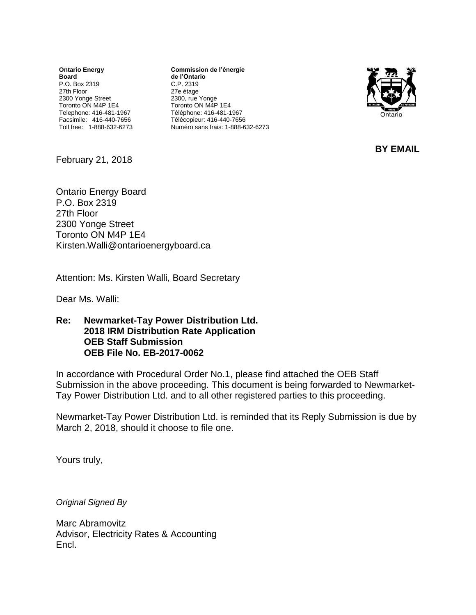**Ontario Energy Board** P.O. Box 2319 27th Floor 2300 Yonge Street Toronto ON M4P 1E4 Telephone: 416-481-1967 Facsimile: 416-440-7656 Toll free: 1-888-632-6273

**Commission de l'énergie de l'Ontario** C.P. 2319 27e étage 2300, rue Yonge Toronto ON M4P 1E4 Téléphone: 416-481-1967 Télécopieur: 416-440-7656 Numéro sans frais: 1-888-632-6273



**BY EMAIL**

February 21, 2018

Ontario Energy Board P.O. Box 2319 27th Floor 2300 Yonge Street Toronto ON M4P 1E4 [Kirsten.Walli@ontarioenergyboard.ca](mailto:Kirsten.Walli@ontarioenergyboard.ca)

Attention: Ms. Kirsten Walli, Board Secretary

Dear Ms. Walli:

**Re: Newmarket-Tay Power Distribution Ltd. 2018 IRM Distribution Rate Application OEB Staff Submission OEB File No. EB-2017-0062**

In accordance with Procedural Order No.1, please find attached the OEB Staff Submission in the above proceeding. This document is being forwarded to Newmarket-Tay Power Distribution Ltd. and to all other registered parties to this proceeding.

Newmarket-Tay Power Distribution Ltd. is reminded that its Reply Submission is due by March 2, 2018, should it choose to file one.

Yours truly,

*Original Signed By*

Marc Abramovitz Advisor, Electricity Rates & Accounting Encl.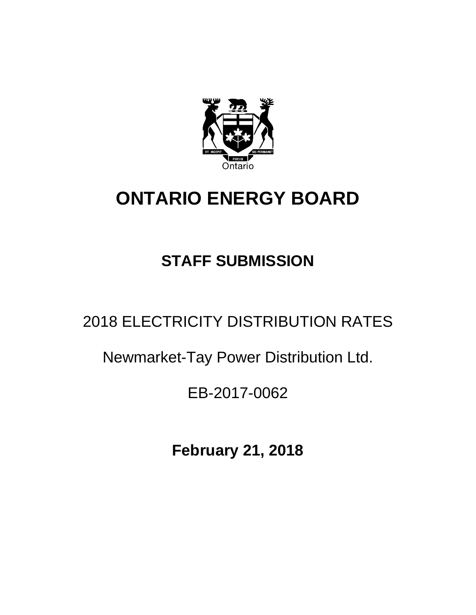

# **ONTARIO ENERGY BOARD**

## **STAFF SUBMISSION**

### 2018 ELECTRICITY DISTRIBUTION RATES

### Newmarket-Tay Power Distribution Ltd.

### EB-2017-0062

**February 21, 2018**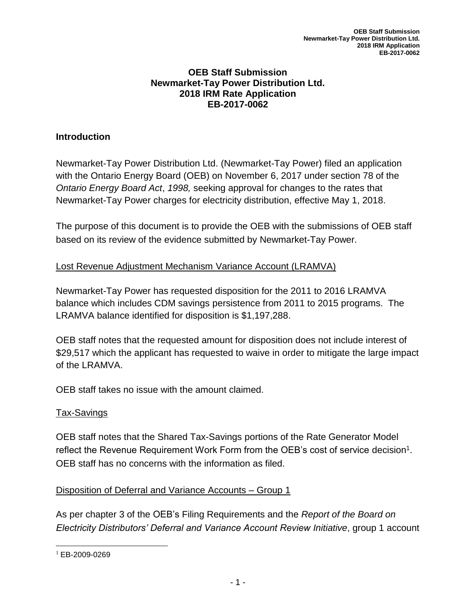#### **OEB Staff Submission Newmarket-Tay Power Distribution Ltd. 2018 IRM Rate Application EB-2017-0062**

#### **Introduction**

Newmarket-Tay Power Distribution Ltd. (Newmarket-Tay Power) filed an application with the Ontario Energy Board (OEB) on November 6, 2017 under section 78 of the *Ontario Energy Board Act*, *1998,* seeking approval for changes to the rates that Newmarket-Tay Power charges for electricity distribution, effective May 1, 2018.

The purpose of this document is to provide the OEB with the submissions of OEB staff based on its review of the evidence submitted by Newmarket-Tay Power.

#### Lost Revenue Adjustment Mechanism Variance Account (LRAMVA)

Newmarket-Tay Power has requested disposition for the 2011 to 2016 LRAMVA balance which includes CDM savings persistence from 2011 to 2015 programs. The LRAMVA balance identified for disposition is \$1,197,288.

OEB staff notes that the requested amount for disposition does not include interest of \$29,517 which the applicant has requested to waive in order to mitigate the large impact of the LRAMVA.

OEB staff takes no issue with the amount claimed.

#### Tax-Savings

OEB staff notes that the Shared Tax-Savings portions of the Rate Generator Model reflect the Revenue Requirement Work Form from the OEB's cost of service decision<sup>1</sup>. OEB staff has no concerns with the information as filed.

#### Disposition of Deferral and Variance Accounts – Group 1

As per chapter 3 of the OEB's Filing Requirements and the *Report of the Board on Electricity Distributors' Deferral and Variance Account Review Initiative*, group 1 account

 $\overline{\phantom{a}}$ <sup>1</sup> EB-2009-0269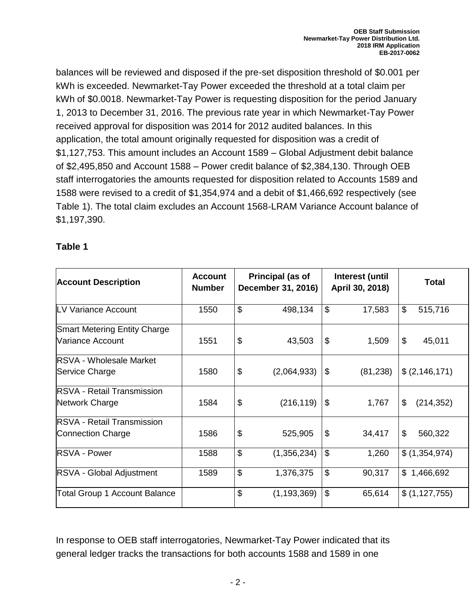balances will be reviewed and disposed if the pre-set disposition threshold of \$0.001 per kWh is exceeded. Newmarket-Tay Power exceeded the threshold at a total claim per kWh of \$0.0018. Newmarket-Tay Power is requesting disposition for the period January 1, 2013 to December 31, 2016. The previous rate year in which Newmarket-Tay Power received approval for disposition was 2014 for 2012 audited balances. In this application, the total amount originally requested for disposition was a credit of \$1,127,753. This amount includes an Account 1589 – Global Adjustment debit balance of \$2,495,850 and Account 1588 – Power credit balance of \$2,384,130. Through OEB staff interrogatories the amounts requested for disposition related to Accounts 1589 and 1588 were revised to a credit of \$1,354,974 and a debit of \$1,466,692 respectively (see Table 1). The total claim excludes an Account 1568-LRAM Variance Account balance of \$1,197,390.

#### **Table 1**

| <b>Account Description</b>           | <b>Account</b><br><b>Number</b> |                           | Principal (as of<br>December 31, 2016) | Interest (until<br>April 30, 2018) | <b>Total</b>     |
|--------------------------------------|---------------------------------|---------------------------|----------------------------------------|------------------------------------|------------------|
| LV Variance Account                  | 1550                            | $\mathfrak{L}$            | 498,134                                | \$<br>17,583                       | \$<br>515,716    |
| <b>Smart Metering Entity Charge</b>  |                                 |                           |                                        |                                    |                  |
| Variance Account                     | 1551                            | \$                        | 43,503                                 | \$<br>1,509                        | \$<br>45,011     |
| <b>RSVA - Wholesale Market</b>       |                                 |                           |                                        |                                    |                  |
| Service Charge                       | 1580                            | \$                        | (2,064,933)                            | \$<br>(81, 238)                    | \$(2,146,171)    |
| <b>IRSVA - Retail Transmission</b>   |                                 |                           |                                        |                                    |                  |
| Network Charge                       | 1584                            | $\boldsymbol{\mathsf{S}}$ | (216, 119)                             | \$<br>1,767                        | \$<br>(214, 352) |
| <b>IRSVA - Retail Transmission</b>   |                                 |                           |                                        |                                    |                  |
| Connection Charge                    | 1586                            | $\boldsymbol{\mathsf{S}}$ | 525,905                                | \$<br>34,417                       | \$<br>560,322    |
| <b>RSVA - Power</b>                  | 1588                            | $\boldsymbol{\mathsf{S}}$ | (1,356,234)                            | \$<br>1,260                        | \$(1,354,974)    |
| <b>RSVA - Global Adjustment</b>      | 1589                            | $\mathfrak{S}$            | 1,376,375                              | \$<br>90,317                       | \$1,466,692      |
| <b>Total Group 1 Account Balance</b> |                                 | \$                        | (1, 193, 369)                          | \$<br>65,614                       | \$(1,127,755)    |

In response to OEB staff interrogatories, Newmarket-Tay Power indicated that its general ledger tracks the transactions for both accounts 1588 and 1589 in one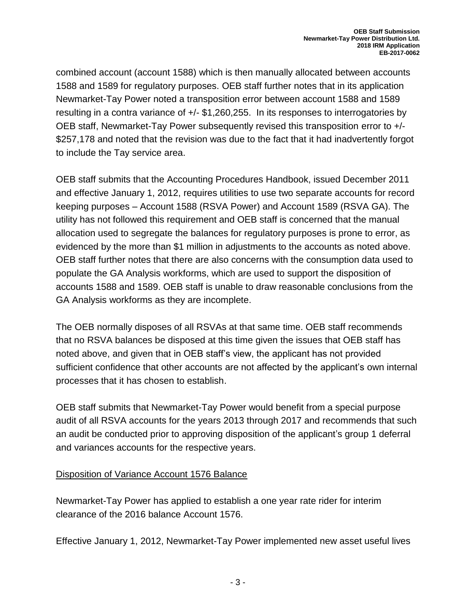combined account (account 1588) which is then manually allocated between accounts 1588 and 1589 for regulatory purposes. OEB staff further notes that in its application Newmarket-Tay Power noted a transposition error between account 1588 and 1589 resulting in a contra variance of +/- \$1,260,255. In its responses to interrogatories by OEB staff, Newmarket-Tay Power subsequently revised this transposition error to +/- \$257,178 and noted that the revision was due to the fact that it had inadvertently forgot to include the Tay service area.

OEB staff submits that the Accounting Procedures Handbook, issued December 2011 and effective January 1, 2012, requires utilities to use two separate accounts for record keeping purposes – Account 1588 (RSVA Power) and Account 1589 (RSVA GA). The utility has not followed this requirement and OEB staff is concerned that the manual allocation used to segregate the balances for regulatory purposes is prone to error, as evidenced by the more than \$1 million in adjustments to the accounts as noted above. OEB staff further notes that there are also concerns with the consumption data used to populate the GA Analysis workforms, which are used to support the disposition of accounts 1588 and 1589. OEB staff is unable to draw reasonable conclusions from the GA Analysis workforms as they are incomplete.

The OEB normally disposes of all RSVAs at that same time. OEB staff recommends that no RSVA balances be disposed at this time given the issues that OEB staff has noted above, and given that in OEB staff's view, the applicant has not provided sufficient confidence that other accounts are not affected by the applicant's own internal processes that it has chosen to establish.

OEB staff submits that Newmarket-Tay Power would benefit from a special purpose audit of all RSVA accounts for the years 2013 through 2017 and recommends that such an audit be conducted prior to approving disposition of the applicant's group 1 deferral and variances accounts for the respective years.

#### Disposition of Variance Account 1576 Balance

Newmarket-Tay Power has applied to establish a one year rate rider for interim clearance of the 2016 balance Account 1576.

Effective January 1, 2012, Newmarket-Tay Power implemented new asset useful lives